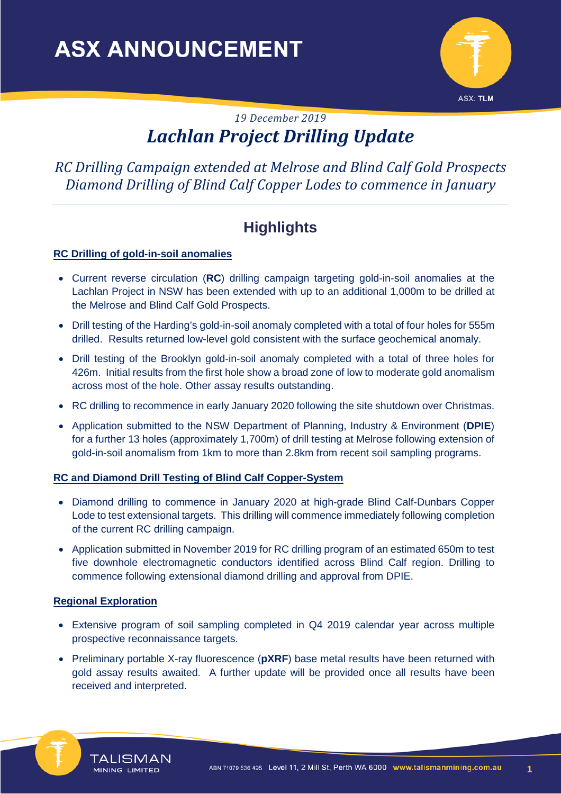

# *19 December 2019 Lachlan Project Drilling Update*

*RC Drilling Campaign extended at Melrose and Blind Calf Gold Prospects Diamond Drilling of Blind Calf Copper Lodes to commence in January* 

# **Highlights**

## **RC Drilling of gold-in-soil anomalies**

- Current reverse circulation (**RC**) drilling campaign targeting gold-in-soil anomalies at the Lachlan Project in NSW has been extended with up to an additional 1,000m to be drilled at the Melrose and Blind Calf Gold Prospects.
- Drill testing of the Harding's gold-in-soil anomaly completed with a total of four holes for 555m drilled. Results returned low-level gold consistent with the surface geochemical anomaly.
- Drill testing of the Brooklyn gold-in-soil anomaly completed with a total of three holes for 426m. Initial results from the first hole show a broad zone of low to moderate gold anomalism across most of the hole. Other assay results outstanding.
- RC drilling to recommence in early January 2020 following the site shutdown over Christmas.
- Application submitted to the NSW Department of Planning, Industry & Environment (**DPIE**) for a further 13 holes (approximately 1,700m) of drill testing at Melrose following extension of gold-in-soil anomalism from 1km to more than 2.8km from recent soil sampling programs.

### **RC and Diamond Drill Testing of Blind Calf Copper-System**

- Diamond drilling to commence in January 2020 at high-grade Blind Calf-Dunbars Copper Lode to test extensional targets. This drilling will commence immediately following completion of the current RC drilling campaign.
- Application submitted in November 2019 for RC drilling program of an estimated 650m to test five downhole electromagnetic conductors identified across Blind Calf region. Drilling to commence following extensional diamond drilling and approval from DPIE.

### **Regional Exploration**

**TALISMAN** 

**MINING LIMITED** 

- Extensive program of soil sampling completed in Q4 2019 calendar year across multiple prospective reconnaissance targets.
- Preliminary portable X-ray fluorescence (pXRF) base metal results have been returned with gold assay results awaited. A further update will be provided once all results have been received and interpreted.



**1**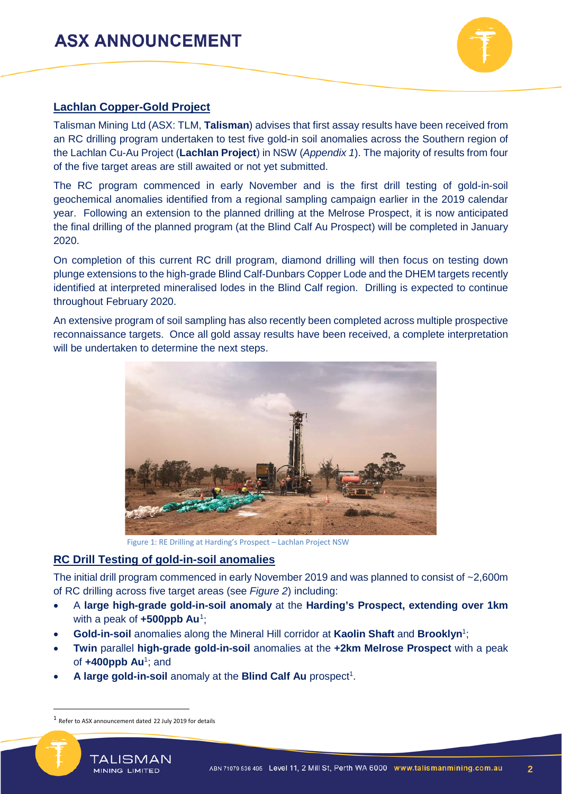

## **Lachlan Copper-Gold Project**

Talisman Mining Ltd (ASX: TLM, **Talisman**) advises that first assay results have been received from an RC drilling program undertaken to test five gold-in soil anomalies across the Southern region of the Lachlan Cu-Au Project (**Lachlan Project**) in NSW (*Appendix 1*). The majority of results from four of the five target areas are still awaited or not yet submitted.

The RC program commenced in early November and is the first drill testing of gold-in-soil geochemical anomalies identified from a regional sampling campaign earlier in the 2019 calendar year. Following an extension to the planned drilling at the Melrose Prospect, it is now anticipated the final drilling of the planned program (at the Blind Calf Au Prospect) will be completed in January 2020.

On completion of this current RC drill program, diamond drilling will then focus on testing down plunge extensions to the high-grade Blind Calf-Dunbars Copper Lode and the DHEM targets recently identified at interpreted mineralised lodes in the Blind Calf region. Drilling is expected to continue throughout February 2020.

An extensive program of soil sampling has also recently been completed across multiple prospective reconnaissance targets. Once all gold assay results have been received, a complete interpretation will be undertaken to determine the next steps.



Figure 1: RE Drilling at Harding's Prospect – Lachlan Project NSW

## **RC Drill Testing of gold-in-soil anomalies**

The initial drill program commenced in early November 2019 and was planned to consist of ~2,600m of RC drilling across five target areas (see *Figure 2*) including:

- A **large high-grade gold-in-soil anomaly** at the **Harding's Prospect, extending over 1km**  with a peak of **+500ppb Au**<sup>[1](#page-1-0)</sup>;
- **Gold-in-soil** anomalies along the Mineral Hill corridor at **Kaolin Shaft** and **Brooklyn**<sup>1</sup> ;
- **Twin** parallel **high-grade gold-in-soil** anomalies at the **+2km Melrose Prospect** with a peak of **+400ppb Au**<sup>1</sup> ; and
- A large gold-in-soil anomaly at the Blind Calf Au prospect<sup>1</sup>.

<span id="page-1-0"></span> <sup>1</sup> Refer to ASX announcement dated <sup>22</sup> July 2019 for details

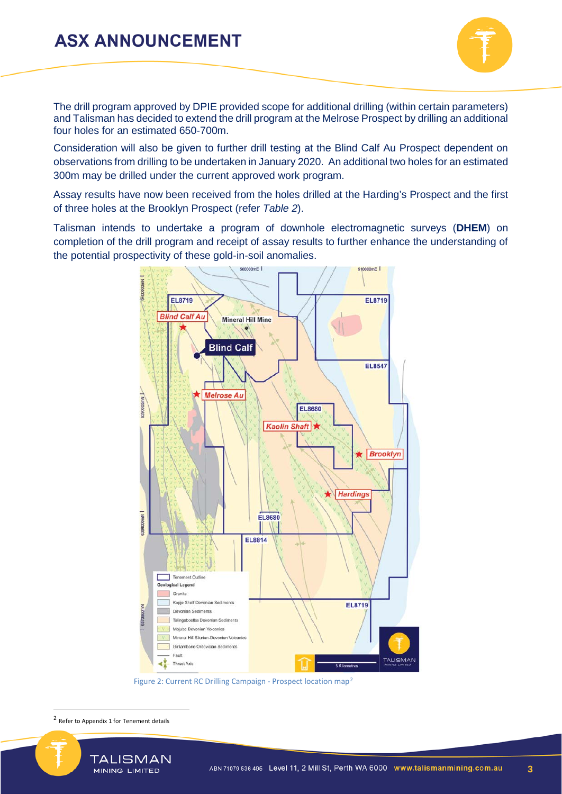

The drill program approved by DPIE provided scope for additional drilling (within certain parameters) and Talisman has decided to extend the drill program at the Melrose Prospect by drilling an additional four holes for an estimated 650-700m.

Consideration will also be given to further drill testing at the Blind Calf Au Prospect dependent on observations from drilling to be undertaken in January 2020. An additional two holes for an estimated 300m may be drilled under the current approved work program.

Assay results have now been received from the holes drilled at the Harding's Prospect and the first of three holes at the Brooklyn Prospect (refer *Table 2*).

Talisman intends to undertake a program of downhole electromagnetic surveys (**DHEM**) on completion of the drill program and receipt of assay results to further enhance the understanding of the potential prospectivity of these gold-in-soil anomalies.



Figure 2: Current RC Drilling Campaign - Prospect location map[2](#page-2-0)

<span id="page-2-0"></span> <sup>2</sup> Refer to Appendix 1 for Tenement details

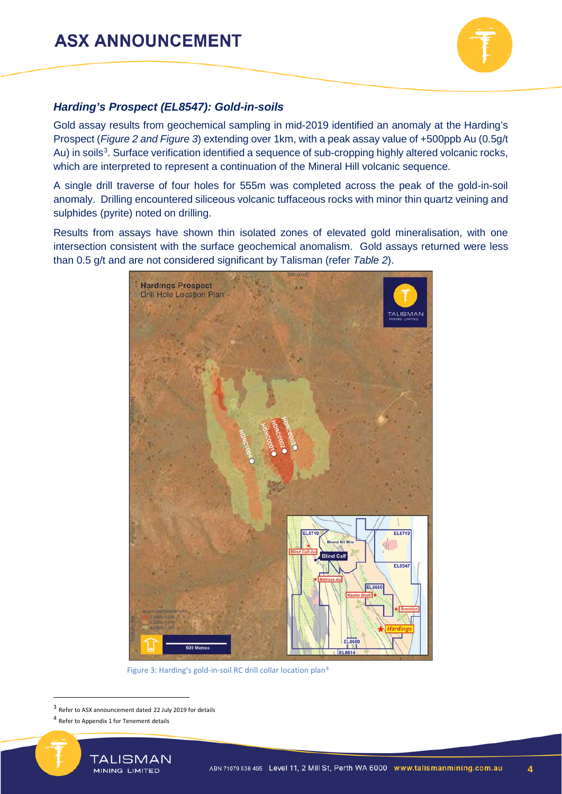

### *Harding's Prospect (EL8547): Gold-in-soils*

Gold assay results from geochemical sampling in mid-2019 identified an anomaly at the Harding's Prospect (*Figure 2 and Figure 3*) extending over 1km, with a peak assay value of +500ppb Au (0.5g/t Au) in soils<sup>[3](#page-3-0)</sup>. Surface verification identified a sequence of sub-cropping highly altered volcanic rocks, which are interpreted to represent a continuation of the Mineral Hill volcanic sequence.

A single drill traverse of four holes for 555m was completed across the peak of the gold-in-soil anomaly. Drilling encountered siliceous volcanic tuffaceous rocks with minor thin quartz veining and sulphides (pyrite) noted on drilling.

Results from assays have shown thin isolated zones of elevated gold mineralisation, with one intersection consistent with the surface geochemical anomalism. Gold assays returned were less than 0.5 g/t and are not considered significant by Talisman (refer *Table 2*).



Figure 3: Harding's gold-in-soil RC drill collar location plan[4](#page-3-1)

<span id="page-3-1"></span><span id="page-3-0"></span><sup>4</sup> Refer to Appendix 1 for Tenement details



 <sup>3</sup> Refer to ASX announcement dated 22 July 2019 for details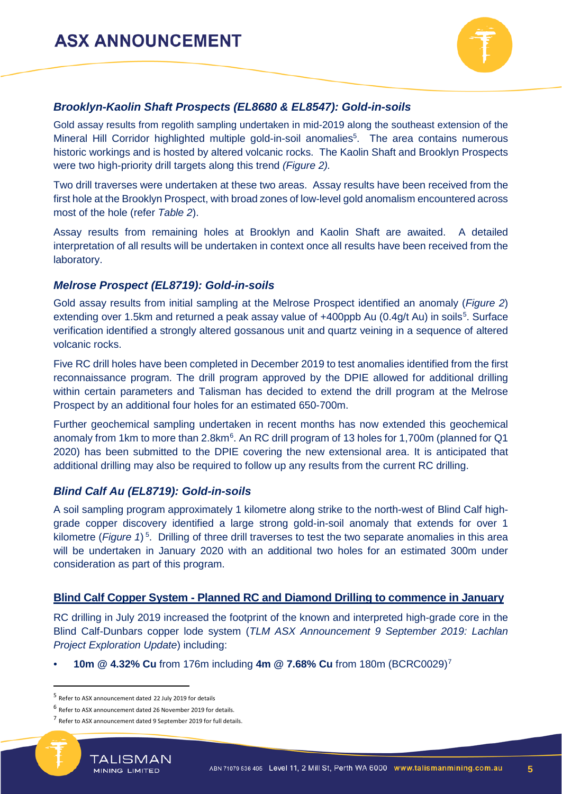

## *Brooklyn-Kaolin Shaft Prospects (EL8680 & EL8547): Gold-in-soils*

Gold assay results from regolith sampling undertaken in mid-2019 along the southeast extension of the Mineral Hill Corridor highlighted multiple gold-in-soil anomalies<sup>5</sup>. The area contains numerous historic workings and is hosted by altered volcanic rocks. The Kaolin Shaft and Brooklyn Prospects were two high-priority drill targets along this trend *(Figure 2).*

Two drill traverses were undertaken at these two areas. Assay results have been received from the first hole at the Brooklyn Prospect, with broad zones of low-level gold anomalism encountered across most of the hole (refer *Table 2*).

Assay results from remaining holes at Brooklyn and Kaolin Shaft are awaited. A detailed interpretation of all results will be undertaken in context once all results have been received from the laboratory.

### *Melrose Prospect (EL8719): Gold-in-soils*

Gold assay results from initial sampling at the Melrose Prospect identified an anomaly (*Figure 2*) extending over 1.[5](#page-4-0)km and returned a peak assay value of +400ppb Au (0.4g/t Au) in soils<sup>5</sup>. Surface verification identified a strongly altered gossanous unit and quartz veining in a sequence of altered volcanic rocks.

Five RC drill holes have been completed in December 2019 to test anomalies identified from the first reconnaissance program. The drill program approved by the DPIE allowed for additional drilling within certain parameters and Talisman has decided to extend the drill program at the Melrose Prospect by an additional four holes for an estimated 650-700m.

Further geochemical sampling undertaken in recent months has now extended this geochemical anomaly from 1km to more than 2.8km<sup>6</sup>. An RC drill program of 13 holes for 1,700m (planned for Q1 2020) has been submitted to the DPIE covering the new extensional area. It is anticipated that additional drilling may also be required to follow up any results from the current RC drilling.

### *Blind Calf Au (EL8719): Gold-in-soils*

A soil sampling program approximately 1 kilometre along strike to the north-west of Blind Calf highgrade copper discovery identified a large strong gold-in-soil anomaly that extends for over 1 kilometre (Figure 1)<sup>5</sup>. Drilling of three drill traverses to test the two separate anomalies in this area will be undertaken in January 2020 with an additional two holes for an estimated 300m under consideration as part of this program.

#### **Blind Calf Copper System - Planned RC and Diamond Drilling to commence in January**

RC drilling in July 2019 increased the footprint of the known and interpreted high-grade core in the Blind Calf-Dunbars copper lode system (*TLM ASX Announcement 9 September 2019: Lachlan Project Exploration Update*) including:

• **10m @ 4.32% Cu** from 176m including **4m @ 7.68% Cu** from 180m (BCRC0029)[7](#page-4-2)

<span id="page-4-2"></span><span id="page-4-1"></span><sup>7</sup> Refer to ASX announcement dated 9 September 2019 for full details.



**5**

<span id="page-4-0"></span> <sup>5</sup> Refer to ASX announcement dated 22 July 2019 for details

<sup>6</sup> Refer to ASX announcement dated 26 November 2019 for details.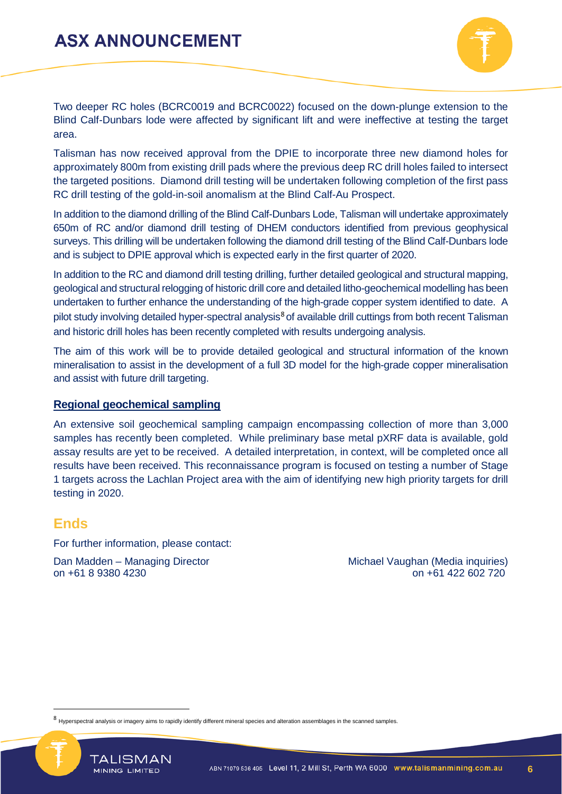

Two deeper RC holes (BCRC0019 and BCRC0022) focused on the down-plunge extension to the Blind Calf-Dunbars lode were affected by significant lift and were ineffective at testing the target area.

Talisman has now received approval from the DPIE to incorporate three new diamond holes for approximately 800m from existing drill pads where the previous deep RC drill holes failed to intersect the targeted positions. Diamond drill testing will be undertaken following completion of the first pass RC drill testing of the gold-in-soil anomalism at the Blind Calf-Au Prospect.

In addition to the diamond drilling of the Blind Calf-Dunbars Lode, Talisman will undertake approximately 650m of RC and/or diamond drill testing of DHEM conductors identified from previous geophysical surveys. This drilling will be undertaken following the diamond drill testing of the Blind Calf-Dunbars lode and is subject to DPIE approval which is expected early in the first quarter of 2020.

In addition to the RC and diamond drill testing drilling, further detailed geological and structural mapping, geological and structural relogging of historic drill core and detailed litho-geochemical modelling has been undertaken to further enhance the understanding of the high-grade copper system identified to date. A pilot study involving detailed hyper-spectral analysis<sup>[8](#page-5-0)</sup> of available drill cuttings from both recent Talisman and historic drill holes has been recently completed with results undergoing analysis.

The aim of this work will be to provide detailed geological and structural information of the known mineralisation to assist in the development of a full 3D model for the high-grade copper mineralisation and assist with future drill targeting.

### **Regional geochemical sampling**

An extensive soil geochemical sampling campaign encompassing collection of more than 3,000 samples has recently been completed. While preliminary base metal pXRF data is available, gold assay results are yet to be received. A detailed interpretation, in context, will be completed once all results have been received. This reconnaissance program is focused on testing a number of Stage 1 targets across the Lachlan Project area with the aim of identifying new high priority targets for drill testing in 2020.

## **Ends**

For further information, please contact:

Dan Madden – Managing Director Michael Vaughan (Media inquiries) on +61 8 9380 4230 on +61 422 602 720

**TALISMAN** 

<span id="page-5-0"></span><sup>8</sup> Hyperspectral analysis or imagery aims to rapidly identify different mineral species and alteration assemblages in the scanned samples

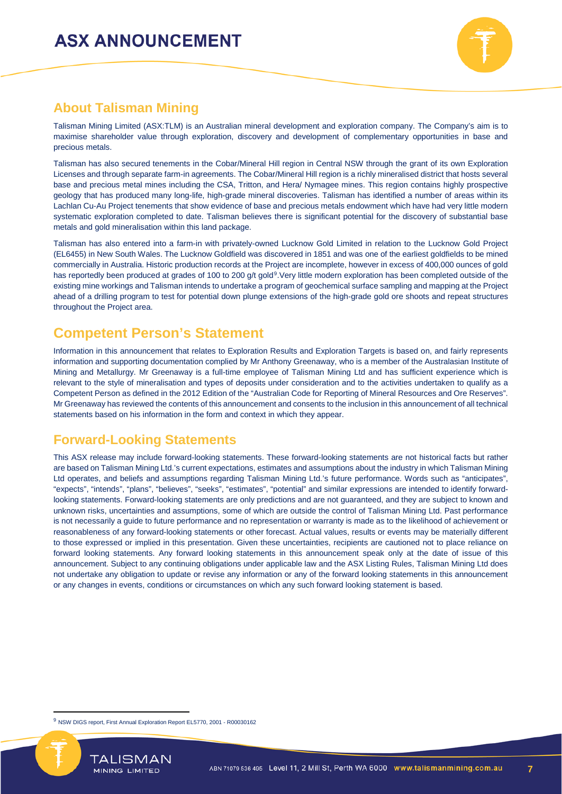

# **About Talisman Mining**

Talisman Mining Limited (ASX:TLM) is an Australian mineral development and exploration company. The Company's aim is to maximise shareholder value through exploration, discovery and development of complementary opportunities in base and precious metals.

Talisman has also secured tenements in the Cobar/Mineral Hill region in Central NSW through the grant of its own Exploration Licenses and through separate farm-in agreements. The Cobar/Mineral Hill region is a richly mineralised district that hosts several base and precious metal mines including the CSA, Tritton, and Hera/ Nymagee mines. This region contains highly prospective geology that has produced many long-life, high-grade mineral discoveries. Talisman has identified a number of areas within its Lachlan Cu-Au Project tenements that show evidence of base and precious metals endowment which have had very little modern systematic exploration completed to date. Talisman believes there is significant potential for the discovery of substantial base metals and gold mineralisation within this land package.

Talisman has also entered into a farm-in with privately-owned Lucknow Gold Limited in relation to the Lucknow Gold Project (EL6455) in New South Wales. The Lucknow Goldfield was discovered in 1851 and was one of the earliest goldfields to be mined commercially in Australia. Historic production records at the Project are incomplete, however in excess of 400,000 ounces of gold has reportedly been produced at grades of 100 to 200 g/t gold<sup>[9](#page-6-0)</sup>. Very little modern exploration has been completed outside of the existing mine workings and Talisman intends to undertake a program of geochemical surface sampling and mapping at the Project ahead of a drilling program to test for potential down plunge extensions of the high-grade gold ore shoots and repeat structures throughout the Project area.

# **Competent Person's Statement**

Information in this announcement that relates to Exploration Results and Exploration Targets is based on, and fairly represents information and supporting documentation complied by Mr Anthony Greenaway, who is a member of the Australasian Institute of Mining and Metallurgy. Mr Greenaway is a full-time employee of Talisman Mining Ltd and has sufficient experience which is relevant to the style of mineralisation and types of deposits under consideration and to the activities undertaken to qualify as a Competent Person as defined in the 2012 Edition of the "Australian Code for Reporting of Mineral Resources and Ore Reserves". Mr Greenaway has reviewed the contents of this announcement and consents to the inclusion in this announcement of all technical statements based on his information in the form and context in which they appear.

## **Forward-Looking Statements**

This ASX release may include forward-looking statements. These forward-looking statements are not historical facts but rather are based on Talisman Mining Ltd.'s current expectations, estimates and assumptions about the industry in which Talisman Mining Ltd operates, and beliefs and assumptions regarding Talisman Mining Ltd.'s future performance. Words such as "anticipates", "expects", "intends", "plans", "believes", "seeks", "estimates", "potential" and similar expressions are intended to identify forwardlooking statements. Forward-looking statements are only predictions and are not guaranteed, and they are subject to known and unknown risks, uncertainties and assumptions, some of which are outside the control of Talisman Mining Ltd. Past performance is not necessarily a guide to future performance and no representation or warranty is made as to the likelihood of achievement or reasonableness of any forward-looking statements or other forecast. Actual values, results or events may be materially different to those expressed or implied in this presentation. Given these uncertainties, recipients are cautioned not to place reliance on forward looking statements. Any forward looking statements in this announcement speak only at the date of issue of this announcement. Subject to any continuing obligations under applicable law and the ASX Listing Rules, Talisman Mining Ltd does not undertake any obligation to update or revise any information or any of the forward looking statements in this announcement or any changes in events, conditions or circumstances on which any such forward looking statement is based.

<span id="page-6-0"></span><sup>&</sup>lt;sup>9</sup> NSW DIGS report, First Annual Exploration Report EL5770, 2001 - R00030162



 $\overline{a}$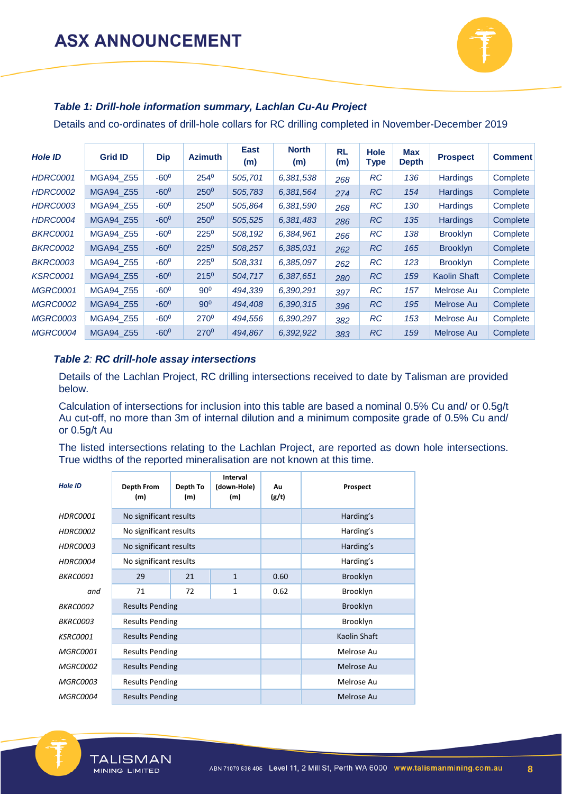

### *Table 1: Drill-hole information summary, Lachlan Cu-Au Project*

Details and co-ordinates of drill-hole collars for RC drilling completed in November-December 2019

| <b>Hole ID</b>  | <b>Grid ID</b> | <b>Dip</b>    | <b>Azimuth</b>   | East<br>(m) | <b>North</b><br>(m) | <b>RL</b><br>(m) | <b>Hole</b><br><b>Type</b> | <b>Max</b><br><b>Depth</b> | <b>Prospect</b>     | <b>Comment</b> |
|-----------------|----------------|---------------|------------------|-------------|---------------------|------------------|----------------------------|----------------------------|---------------------|----------------|
| <b>HDRC0001</b> | MGA94_Z55      | $-60^{\circ}$ | 2540             | 505,701     | 6,381,538           | 268              | <b>RC</b>                  | 136                        | <b>Hardings</b>     | Complete       |
| <b>HDRC0002</b> | MGA94_Z55      | $-60^{\circ}$ | $250^0$          | 505,783     | 6,381,564           | 274              | <b>RC</b>                  | 154                        | <b>Hardings</b>     | Complete       |
| <b>HDRC0003</b> | MGA94 Z55      | $-60^{\circ}$ | $250^{\circ}$    | 505,864     | 6,381,590           | 268              | <b>RC</b>                  | 130                        | <b>Hardings</b>     | Complete       |
| <b>HDRC0004</b> | MGA94 Z55      | $-60^{\circ}$ | $250^0$          | 505,525     | 6,381,483           | 286              | <b>RC</b>                  | 135                        | <b>Hardings</b>     | Complete       |
| <b>BKRC0001</b> | MGA94 Z55      | $-60^{\circ}$ | $225^{\circ}$    | 508,192     | 6,384,961           | 266              | <b>RC</b>                  | 138                        | <b>Brooklyn</b>     | Complete       |
| <b>BKRC0002</b> | MGA94 Z55      | $-60^{\circ}$ | $225^0$          | 508,257     | 6,385,031           | 262              | <b>RC</b>                  | 165                        | <b>Brooklyn</b>     | Complete       |
| <b>BKRC0003</b> | MGA94 Z55      | $-60^{\circ}$ | $225^{\circ}$    | 508,331     | 6,385,097           | 262              | <b>RC</b>                  | 123                        | <b>Brooklyn</b>     | Complete       |
| <b>KSRC0001</b> | MGA94 Z55      | $-60^\circ$   | $215^{0}$        | 504,717     | 6,387,651           | 280              | <b>RC</b>                  | 159                        | <b>Kaolin Shaft</b> | Complete       |
| <b>MGRC0001</b> | MGA94 Z55      | $-60^{\circ}$ | $90^\circ$       | 494,339     | 6,390,291           | 397              | <b>RC</b>                  | 157                        | Melrose Au          | Complete       |
| <b>MGRC0002</b> | MGA94 Z55      | $-60^{\circ}$ | $90^\circ$       | 494,408     | 6,390,315           | 396              | <b>RC</b>                  | 195                        | Melrose Au          | Complete       |
| <b>MGRC0003</b> | MGA94 Z55      | $-60^{\circ}$ | 270 <sup>0</sup> | 494,556     | 6,390,297           | 382              | <b>RC</b>                  | 153                        | Melrose Au          | Complete       |
| <b>MGRC0004</b> | MGA94 Z55      | $-60^{\circ}$ | $270^0$          | 494,867     | 6,392,922           | 383              | <b>RC</b>                  | 159                        | Melrose Au          | Complete       |

#### *Table 2: RC drill-hole assay intersections*

Details of the Lachlan Project, RC drilling intersections received to date by Talisman are provided below.

Calculation of intersections for inclusion into this table are based a nominal 0.5% Cu and/ or 0.5g/t Au cut-off, no more than 3m of internal dilution and a minimum composite grade of 0.5% Cu and/ or 0.5g/t Au

The listed intersections relating to the Lachlan Project, are reported as down hole intersections. True widths of the reported mineralisation are not known at this time.

| <b>Hole ID</b>  | Depth From<br>(m)      | Depth To<br>(m) | Interval<br>(down-Hole)<br>(m) | Au<br>(g/t) | Prospect     |
|-----------------|------------------------|-----------------|--------------------------------|-------------|--------------|
| <b>HDRC0001</b> | No significant results |                 |                                |             | Harding's    |
| <b>HDRC0002</b> | No significant results |                 |                                |             | Harding's    |
| HDRC0003        | No significant results |                 |                                |             | Harding's    |
| HDRC0004        | No significant results |                 |                                |             | Harding's    |
| BKRC0001        | 29                     | 21              | $\mathbf{1}$                   | 0.60        | Brooklyn     |
| and             | 71                     | 72              | 1                              | 0.62        | Brooklyn     |
| <i>BKRC0002</i> | <b>Results Pending</b> |                 |                                |             | Brooklyn     |
| <b>BKRC0003</b> | <b>Results Pending</b> |                 |                                |             | Brooklyn     |
| <b>KSRC0001</b> | <b>Results Pending</b> |                 |                                |             | Kaolin Shaft |
| <b>MGRC0001</b> | <b>Results Pending</b> |                 |                                |             | Melrose Au   |
| <b>MGRC0002</b> | <b>Results Pending</b> |                 |                                |             | Melrose Au   |
| <b>MGRC0003</b> | <b>Results Pending</b> |                 |                                |             | Melrose Au   |
| MGRC0004        | <b>Results Pending</b> |                 |                                |             | Melrose Au   |

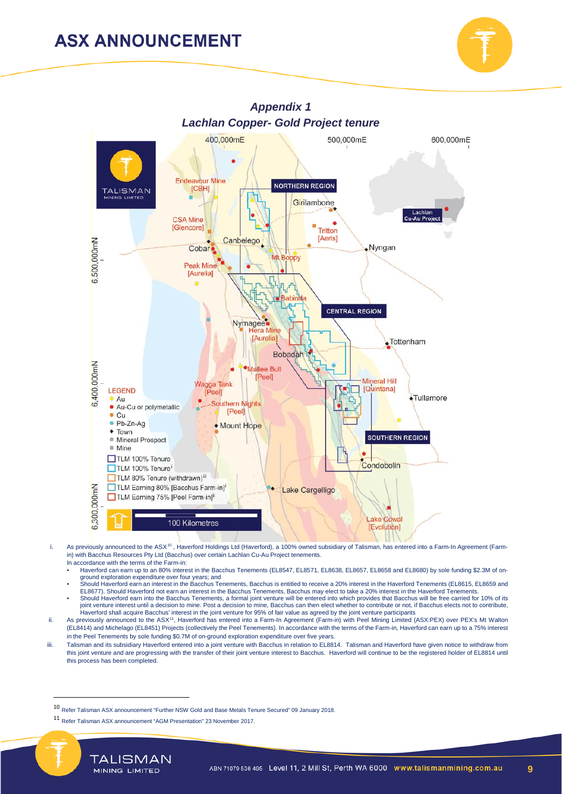



- i. As previously announced to the ASX<sup>[10](#page-8-0)</sup>, Haverford Holdings Ltd (Haverford), a 100% owned subsidiary of Talisman, has entered into a Farm-In Agreement (Farmin) with Bacchus Resources Pty Ltd (Bacchus) over certain Lachlan Cu-Au Project tenements. In accordance with the terms of the Farm-in:
	- Haverford can earn up to an 80% interest in the Bacchus Tenements (EL8547, EL8571, EL8638, EL8657, EL8658 and EL8680) by sole funding \$2.3M of onground exploration expenditure over four years; and
	- Should Haverford earn an interest in the Bacchus Tenements, Bacchus is entitled to receive a 20% interest in the Haverford Tenements (EL8615, EL8659 and EL8677). Should Haverford not earn an interest in the Bacchus Tenements, Bacchus may elect to take a 20% interest in the Haverford Tenements.<br>Should Haverford earn into the Bacchus Tenements, a formal joint venture will be
- joint venture interest until a decision to mine. Post a decision to mine, Bacchus can then elect whether to contribute or not, if Bacchus elects not to contribute, Haverford shall acquire Bacchus' interest in the joint venture for 95% of fair value as agreed by the joint venture participants<br>ii. As previously announced to the ASX<sup>[11](#page-8-1)</sup>, Haverford has entered into a Farm-In Agreement (F
- (EL8414) and Michelago (EL8451) Projects (collectively the Peel Tenements). In accordance with the terms of the Farm-in, Haverford can earn up to a 75% interest in the Peel Tenements by sole funding \$0.7M of on-ground exploration expenditure over five years.
- iii. Talisman and its subsidiary Haverford entered into a joint venture with Bacchus in relation to EL8814. Talisman and Haverford have given notice to withdraw from this joint venture and are progressing with the transfer of their joint venture interest to Bacchus. Haverford will continue to be the registered holder of EL8814 until this process has been completed.

<span id="page-8-1"></span><span id="page-8-0"></span><sup>11</sup> Refer Talisman ASX announcement "AGM Presentation" 23 November 2017.



**9**

 <sup>10</sup> Refer Talisman ASX announcement "Further NSW Gold and Base Metals Tenure Secured" 09 January 2018.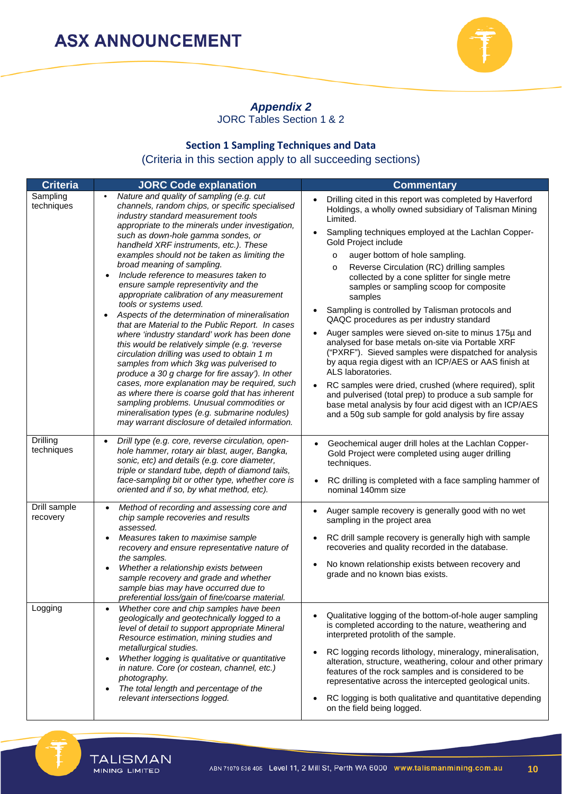

## *Appendix 2*

JORC Tables Section 1 & 2

## **Section 1 Sampling Techniques and Data** (Criteria in this section apply to all succeeding sections)

| <b>Criteria</b>               | <b>JORC Code explanation</b>                                                                                                                                                                                                                                                                                                                                                                                                                                                                                                                                                                                                                                                                                                                                                                                                                                                                                                                                                                                                                                                                                                                         | <b>Commentary</b>                                                                                                                                                                                                                                                                                                                                                                                                                                                                                                                                                                                                                                                                                                                                                                                                                                                                                                                                                                                                                              |  |  |
|-------------------------------|------------------------------------------------------------------------------------------------------------------------------------------------------------------------------------------------------------------------------------------------------------------------------------------------------------------------------------------------------------------------------------------------------------------------------------------------------------------------------------------------------------------------------------------------------------------------------------------------------------------------------------------------------------------------------------------------------------------------------------------------------------------------------------------------------------------------------------------------------------------------------------------------------------------------------------------------------------------------------------------------------------------------------------------------------------------------------------------------------------------------------------------------------|------------------------------------------------------------------------------------------------------------------------------------------------------------------------------------------------------------------------------------------------------------------------------------------------------------------------------------------------------------------------------------------------------------------------------------------------------------------------------------------------------------------------------------------------------------------------------------------------------------------------------------------------------------------------------------------------------------------------------------------------------------------------------------------------------------------------------------------------------------------------------------------------------------------------------------------------------------------------------------------------------------------------------------------------|--|--|
| Sampling<br>techniques        | Nature and quality of sampling (e.g. cut<br>$\bullet$<br>channels, random chips, or specific specialised<br>industry standard measurement tools<br>appropriate to the minerals under investigation,<br>such as down-hole gamma sondes, or<br>handheld XRF instruments, etc.). These<br>examples should not be taken as limiting the<br>broad meaning of sampling.<br>Include reference to measures taken to<br>ensure sample representivity and the<br>appropriate calibration of any measurement<br>tools or systems used.<br>Aspects of the determination of mineralisation<br>$\bullet$<br>that are Material to the Public Report. In cases<br>where 'industry standard' work has been done<br>this would be relatively simple (e.g. 'reverse<br>circulation drilling was used to obtain 1 m<br>samples from which 3kg was pulverised to<br>produce a 30 g charge for fire assay'). In other<br>cases, more explanation may be required, such<br>as where there is coarse gold that has inherent<br>sampling problems. Unusual commodities or<br>mineralisation types (e.g. submarine nodules)<br>may warrant disclosure of detailed information. | Drilling cited in this report was completed by Haverford<br>Holdings, a wholly owned subsidiary of Talisman Mining<br>Limited.<br>Sampling techniques employed at the Lachlan Copper-<br>Gold Project include<br>auger bottom of hole sampling.<br>$\circ$<br>Reverse Circulation (RC) drilling samples<br>$\circ$<br>collected by a cone splitter for single metre<br>samples or sampling scoop for composite<br>samples<br>Sampling is controlled by Talisman protocols and<br>QAQC procedures as per industry standard<br>Auger samples were sieved on-site to minus 175µ and<br>$\bullet$<br>analysed for base metals on-site via Portable XRF<br>("PXRF"). Sieved samples were dispatched for analysis<br>by aqua regia digest with an ICP/AES or AAS finish at<br>ALS laboratories.<br>RC samples were dried, crushed (where required), split<br>$\bullet$<br>and pulverised (total prep) to produce a sub sample for<br>base metal analysis by four acid digest with an ICP/AES<br>and a 50g sub sample for gold analysis by fire assay |  |  |
| <b>Drilling</b><br>techniques | Drill type (e.g. core, reverse circulation, open-<br>$\bullet$<br>hole hammer, rotary air blast, auger, Bangka,<br>sonic, etc) and details (e.g. core diameter,<br>triple or standard tube, depth of diamond tails,<br>face-sampling bit or other type, whether core is<br>oriented and if so, by what method, etc).                                                                                                                                                                                                                                                                                                                                                                                                                                                                                                                                                                                                                                                                                                                                                                                                                                 | Geochemical auger drill holes at the Lachlan Copper-<br>Gold Project were completed using auger drilling<br>techniques.<br>RC drilling is completed with a face sampling hammer of<br>$\bullet$<br>nominal 140mm size                                                                                                                                                                                                                                                                                                                                                                                                                                                                                                                                                                                                                                                                                                                                                                                                                          |  |  |
| Drill sample<br>recovery      | Method of recording and assessing core and<br>chip sample recoveries and results<br>assessed.<br>Measures taken to maximise sample<br>recovery and ensure representative nature of<br>the samples.<br>Whether a relationship exists between<br>sample recovery and grade and whether<br>sample bias may have occurred due to<br>preferential loss/gain of fine/coarse material.                                                                                                                                                                                                                                                                                                                                                                                                                                                                                                                                                                                                                                                                                                                                                                      | Auger sample recovery is generally good with no wet<br>sampling in the project area<br>RC drill sample recovery is generally high with sample<br>$\bullet$<br>recoveries and quality recorded in the database.<br>No known relationship exists between recovery and<br>grade and no known bias exists.                                                                                                                                                                                                                                                                                                                                                                                                                                                                                                                                                                                                                                                                                                                                         |  |  |
| Logging                       | Whether core and chip samples have been<br>geologically and geotechnically logged to a<br>level of detail to support appropriate Mineral<br>Resource estimation, mining studies and<br>metallurgical studies.<br>Whether logging is qualitative or quantitative<br>in nature. Core (or costean, channel, etc.)<br>photography.<br>The total length and percentage of the<br>relevant intersections logged.                                                                                                                                                                                                                                                                                                                                                                                                                                                                                                                                                                                                                                                                                                                                           | Qualitative logging of the bottom-of-hole auger sampling<br>is completed according to the nature, weathering and<br>interpreted protolith of the sample.<br>RC logging records lithology, mineralogy, mineralisation,<br>alteration, structure, weathering, colour and other primary<br>features of the rock samples and is considered to be<br>representative across the intercepted geological units.<br>RC logging is both qualitative and quantitative depending<br>on the field being logged.                                                                                                                                                                                                                                                                                                                                                                                                                                                                                                                                             |  |  |



**TALISMAN**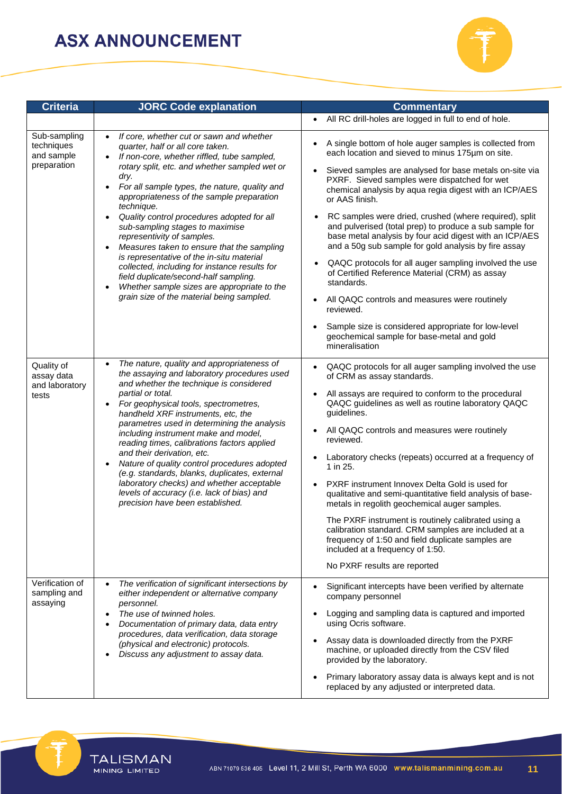

| <b>Criteria</b>                                         | <b>JORC Code explanation</b>                                                                                                                                                                                                                                                                                                                                                                                                                                                                                                                                                                                                                                                                                                                                      | <b>Commentary</b>                                                                                                                                                                                                                                                                                                                                                                                                                                                                                                                                                                                                                                                                                                                                                                                                                                                                   |  |  |
|---------------------------------------------------------|-------------------------------------------------------------------------------------------------------------------------------------------------------------------------------------------------------------------------------------------------------------------------------------------------------------------------------------------------------------------------------------------------------------------------------------------------------------------------------------------------------------------------------------------------------------------------------------------------------------------------------------------------------------------------------------------------------------------------------------------------------------------|-------------------------------------------------------------------------------------------------------------------------------------------------------------------------------------------------------------------------------------------------------------------------------------------------------------------------------------------------------------------------------------------------------------------------------------------------------------------------------------------------------------------------------------------------------------------------------------------------------------------------------------------------------------------------------------------------------------------------------------------------------------------------------------------------------------------------------------------------------------------------------------|--|--|
|                                                         |                                                                                                                                                                                                                                                                                                                                                                                                                                                                                                                                                                                                                                                                                                                                                                   | All RC drill-holes are logged in full to end of hole.<br>$\bullet$                                                                                                                                                                                                                                                                                                                                                                                                                                                                                                                                                                                                                                                                                                                                                                                                                  |  |  |
| Sub-sampling<br>techniques<br>and sample<br>preparation | If core, whether cut or sawn and whether<br>$\bullet$<br>quarter, half or all core taken.<br>If non-core, whether riffled, tube sampled,<br>$\bullet$<br>rotary split, etc. and whether sampled wet or<br>dry.<br>For all sample types, the nature, quality and<br>$\bullet$<br>appropriateness of the sample preparation<br>technique.<br>Quality control procedures adopted for all<br>$\bullet$<br>sub-sampling stages to maximise<br>representivity of samples.<br>Measures taken to ensure that the sampling<br>is representative of the in-situ material<br>collected, including for instance results for<br>field duplicate/second-half sampling.<br>Whether sample sizes are appropriate to the<br>$\bullet$<br>grain size of the material being sampled. | A single bottom of hole auger samples is collected from<br>each location and sieved to minus 175um on site.<br>Sieved samples are analysed for base metals on-site via<br>$\bullet$<br>PXRF. Sieved samples were dispatched for wet<br>chemical analysis by aqua regia digest with an ICP/AES<br>or AAS finish.<br>RC samples were dried, crushed (where required), split<br>and pulverised (total prep) to produce a sub sample for<br>base metal analysis by four acid digest with an ICP/AES<br>and a 50g sub sample for gold analysis by fire assay<br>QAQC protocols for all auger sampling involved the use<br>of Certified Reference Material (CRM) as assay<br>standards.<br>All QAQC controls and measures were routinely<br>$\bullet$<br>reviewed.<br>Sample size is considered appropriate for low-level<br>geochemical sample for base-metal and gold<br>mineralisation |  |  |
| Quality of<br>assay data<br>and laboratory<br>tests     | The nature, quality and appropriateness of<br>the assaying and laboratory procedures used<br>and whether the technique is considered<br>partial or total.<br>For geophysical tools, spectrometres,<br>handheld XRF instruments, etc, the<br>parametres used in determining the analysis<br>including instrument make and model,<br>reading times, calibrations factors applied<br>and their derivation, etc.<br>Nature of quality control procedures adopted<br>(e.g. standards, blanks, duplicates, external<br>laboratory checks) and whether acceptable<br>levels of accuracy (i.e. lack of bias) and<br>precision have been established.                                                                                                                      | QAQC protocols for all auger sampling involved the use<br>$\bullet$<br>of CRM as assay standards.<br>All assays are required to conform to the procedural<br>QAQC guidelines as well as routine laboratory QAQC<br>guidelines.<br>All QAQC controls and measures were routinely<br>$\bullet$<br>reviewed.<br>Laboratory checks (repeats) occurred at a frequency of<br>1 in 25.<br>PXRF instrument Innovex Delta Gold is used for<br>$\bullet$<br>qualitative and semi-quantitative field analysis of base-<br>metals in regolith geochemical auger samples.<br>The PXRF instrument is routinely calibrated using a<br>calibration standard. CRM samples are included at a<br>frequency of 1:50 and field duplicate samples are<br>included at a frequency of 1:50.<br>No PXRF results are reported                                                                                 |  |  |
| Verification of<br>sampling and<br>assaying             | The verification of significant intersections by<br>$\bullet$<br>either independent or alternative company<br>personnel.<br>The use of twinned holes.<br>$\bullet$<br>Documentation of primary data, data entry<br>procedures, data verification, data storage<br>(physical and electronic) protocols.<br>Discuss any adjustment to assay data.                                                                                                                                                                                                                                                                                                                                                                                                                   | Significant intercepts have been verified by alternate<br>$\bullet$<br>company personnel<br>Logging and sampling data is captured and imported<br>$\bullet$<br>using Ocris software.<br>Assay data is downloaded directly from the PXRF<br>machine, or uploaded directly from the CSV filed<br>provided by the laboratory.<br>Primary laboratory assay data is always kept and is not<br>$\bullet$<br>replaced by any adjusted or interpreted data.                                                                                                                                                                                                                                                                                                                                                                                                                                 |  |  |



**TALISMAN**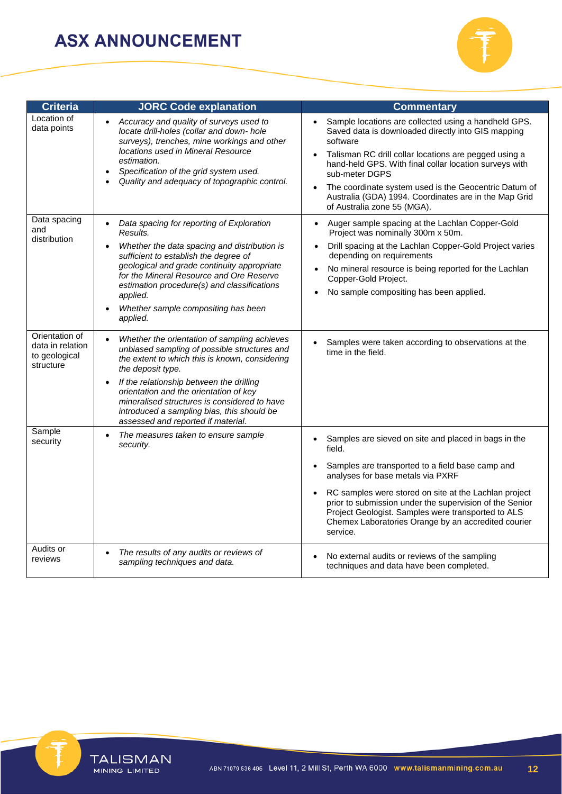

| <b>Criteria</b>                                                  | <b>JORC Code explanation</b>                                                                                                                                                                                                                                                                                                                                                                                            | <b>Commentary</b>                                                                                                                                                                                                                                                                                                                                                                                                                      |  |  |
|------------------------------------------------------------------|-------------------------------------------------------------------------------------------------------------------------------------------------------------------------------------------------------------------------------------------------------------------------------------------------------------------------------------------------------------------------------------------------------------------------|----------------------------------------------------------------------------------------------------------------------------------------------------------------------------------------------------------------------------------------------------------------------------------------------------------------------------------------------------------------------------------------------------------------------------------------|--|--|
| Location of<br>data points                                       | Accuracy and quality of surveys used to<br>$\bullet$<br>locate drill-holes (collar and down- hole<br>surveys), trenches, mine workings and other<br>locations used in Mineral Resource<br>estimation.<br>Specification of the grid system used.<br>$\bullet$<br>Quality and adequacy of topographic control.                                                                                                            | Sample locations are collected using a handheld GPS.<br>$\bullet$<br>Saved data is downloaded directly into GIS mapping<br>software<br>Talisman RC drill collar locations are pegged using a<br>$\bullet$<br>hand-held GPS. With final collar location surveys with<br>sub-meter DGPS<br>The coordinate system used is the Geocentric Datum of<br>Australia (GDA) 1994. Coordinates are in the Map Grid<br>of Australia zone 55 (MGA). |  |  |
| Data spacing<br>and<br>distribution                              | Data spacing for reporting of Exploration<br>$\bullet$<br>Results.<br>Whether the data spacing and distribution is<br>sufficient to establish the degree of<br>geological and grade continuity appropriate                                                                                                                                                                                                              | Auger sample spacing at the Lachlan Copper-Gold<br>$\bullet$<br>Project was nominally 300m x 50m.<br>Drill spacing at the Lachlan Copper-Gold Project varies<br>depending on requirements<br>No mineral resource is being reported for the Lachlan                                                                                                                                                                                     |  |  |
|                                                                  | for the Mineral Resource and Ore Reserve<br>estimation procedure(s) and classifications<br>applied.                                                                                                                                                                                                                                                                                                                     | Copper-Gold Project.<br>No sample compositing has been applied.                                                                                                                                                                                                                                                                                                                                                                        |  |  |
|                                                                  | Whether sample compositing has been<br>applied.                                                                                                                                                                                                                                                                                                                                                                         |                                                                                                                                                                                                                                                                                                                                                                                                                                        |  |  |
| Orientation of<br>data in relation<br>to geological<br>structure | Whether the orientation of sampling achieves<br>$\bullet$<br>unbiased sampling of possible structures and<br>the extent to which this is known, considering<br>the deposit type.<br>If the relationship between the drilling<br>$\bullet$<br>orientation and the orientation of key<br>mineralised structures is considered to have<br>introduced a sampling bias, this should be<br>assessed and reported if material. | Samples were taken according to observations at the<br>time in the field.                                                                                                                                                                                                                                                                                                                                                              |  |  |
| Sample<br>security                                               | The measures taken to ensure sample<br>$\bullet$<br>security.                                                                                                                                                                                                                                                                                                                                                           | Samples are sieved on site and placed in bags in the<br>$\bullet$<br>field.                                                                                                                                                                                                                                                                                                                                                            |  |  |
|                                                                  |                                                                                                                                                                                                                                                                                                                                                                                                                         | Samples are transported to a field base camp and<br>analyses for base metals via PXRF                                                                                                                                                                                                                                                                                                                                                  |  |  |
|                                                                  |                                                                                                                                                                                                                                                                                                                                                                                                                         | RC samples were stored on site at the Lachlan project<br>prior to submission under the supervision of the Senior<br>Project Geologist. Samples were transported to ALS<br>Chemex Laboratories Orange by an accredited courier<br>service.                                                                                                                                                                                              |  |  |
| Audits or<br>reviews                                             | The results of any audits or reviews of<br>$\bullet$<br>sampling techniques and data.                                                                                                                                                                                                                                                                                                                                   | No external audits or reviews of the sampling<br>techniques and data have been completed.                                                                                                                                                                                                                                                                                                                                              |  |  |

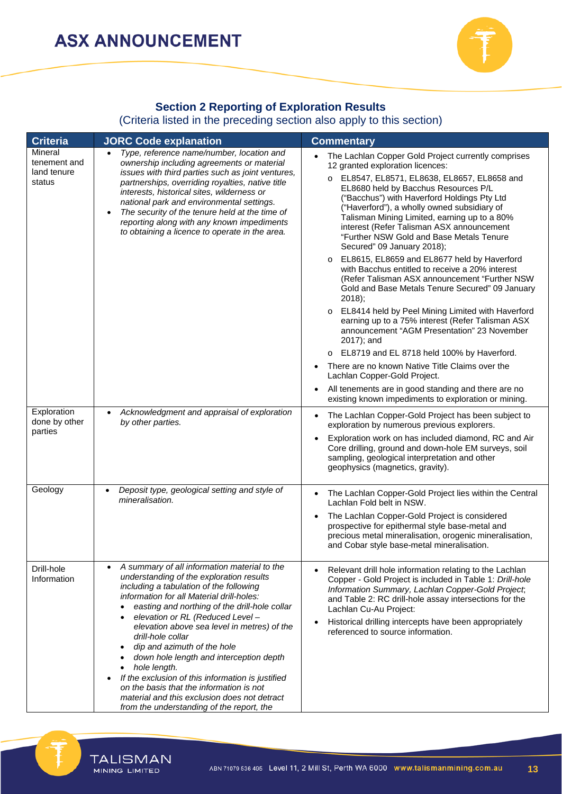

## **Section 2 Reporting of Exploration Results**

#### (Criteria listed in the preceding section also apply to this section)

| <b>Criteria</b>                                  | <b>JORC Code explanation</b>                                                                                                                                                                                                                                                                                                                                                                                                                                                                                                                                                                                                                   | <b>Commentary</b>                                                                                                                                                                                                                                                                                                                                                                                                                                                                                                                                                                                                                                                                                                                                                                                                                                                                                                                                                                                                                                                                                                                                                    |  |  |
|--------------------------------------------------|------------------------------------------------------------------------------------------------------------------------------------------------------------------------------------------------------------------------------------------------------------------------------------------------------------------------------------------------------------------------------------------------------------------------------------------------------------------------------------------------------------------------------------------------------------------------------------------------------------------------------------------------|----------------------------------------------------------------------------------------------------------------------------------------------------------------------------------------------------------------------------------------------------------------------------------------------------------------------------------------------------------------------------------------------------------------------------------------------------------------------------------------------------------------------------------------------------------------------------------------------------------------------------------------------------------------------------------------------------------------------------------------------------------------------------------------------------------------------------------------------------------------------------------------------------------------------------------------------------------------------------------------------------------------------------------------------------------------------------------------------------------------------------------------------------------------------|--|--|
| Mineral<br>tenement and<br>land tenure<br>status | Type, reference name/number, location and<br>ownership including agreements or material<br>issues with third parties such as joint ventures,<br>partnerships, overriding royalties, native title<br>interests, historical sites, wilderness or<br>national park and environmental settings.<br>The security of the tenure held at the time of<br>reporting along with any known impediments<br>to obtaining a licence to operate in the area.                                                                                                                                                                                                  | The Lachlan Copper Gold Project currently comprises<br>$\bullet$<br>12 granted exploration licences:<br>O EL8547, EL8571, EL8638, EL8657, EL8658 and<br>EL8680 held by Bacchus Resources P/L<br>("Bacchus") with Haverford Holdings Pty Ltd<br>("Haverford"), a wholly owned subsidiary of<br>Talisman Mining Limited, earning up to a 80%<br>interest (Refer Talisman ASX announcement<br>"Further NSW Gold and Base Metals Tenure<br>Secured" 09 January 2018);<br>EL8615, EL8659 and EL8677 held by Haverford<br>$\circ$<br>with Bacchus entitled to receive a 20% interest<br>(Refer Talisman ASX announcement "Further NSW<br>Gold and Base Metals Tenure Secured" 09 January<br>$2018$ ;<br>EL8414 held by Peel Mining Limited with Haverford<br>$\circ$<br>earning up to a 75% interest (Refer Talisman ASX<br>announcement "AGM Presentation" 23 November<br>2017); and<br>EL8719 and EL 8718 held 100% by Haverford.<br>$\circ$<br>There are no known Native Title Claims over the<br>$\bullet$<br>Lachlan Copper-Gold Project.<br>All tenements are in good standing and there are no<br>$\bullet$<br>existing known impediments to exploration or mining. |  |  |
| Exploration<br>done by other<br>parties          | Acknowledgment and appraisal of exploration<br>$\bullet$<br>by other parties.                                                                                                                                                                                                                                                                                                                                                                                                                                                                                                                                                                  | The Lachlan Copper-Gold Project has been subject to<br>exploration by numerous previous explorers.<br>Exploration work on has included diamond, RC and Air<br>$\bullet$<br>Core drilling, ground and down-hole EM surveys, soil<br>sampling, geological interpretation and other<br>geophysics (magnetics, gravity).                                                                                                                                                                                                                                                                                                                                                                                                                                                                                                                                                                                                                                                                                                                                                                                                                                                 |  |  |
| Geology                                          | Deposit type, geological setting and style of<br>$\bullet$<br>mineralisation.                                                                                                                                                                                                                                                                                                                                                                                                                                                                                                                                                                  | The Lachlan Copper-Gold Project lies within the Central<br>$\bullet$<br>Lachlan Fold belt in NSW.<br>The Lachlan Copper-Gold Project is considered<br>$\bullet$<br>prospective for epithermal style base-metal and<br>precious metal mineralisation, orogenic mineralisation,<br>and Cobar style base-metal mineralisation.                                                                                                                                                                                                                                                                                                                                                                                                                                                                                                                                                                                                                                                                                                                                                                                                                                          |  |  |
| Drill-hole<br>Information                        | A summary of all information material to the<br>understanding of the exploration results<br>including a tabulation of the following<br>information for all Material drill-holes:<br>easting and northing of the drill-hole collar<br>elevation or RL (Reduced Level -<br>elevation above sea level in metres) of the<br>drill-hole collar<br>dip and azimuth of the hole<br>down hole length and interception depth<br>hole length.<br>$\bullet$<br>If the exclusion of this information is justified<br>on the basis that the information is not<br>material and this exclusion does not detract<br>from the understanding of the report, the | Relevant drill hole information relating to the Lachlan<br>Copper - Gold Project is included in Table 1: Drill-hole<br>Information Summary, Lachlan Copper-Gold Project,<br>and Table 2: RC drill-hole assay intersections for the<br>Lachlan Cu-Au Project:<br>Historical drilling intercepts have been appropriately<br>٠<br>referenced to source information.                                                                                                                                                                                                                                                                                                                                                                                                                                                                                                                                                                                                                                                                                                                                                                                                     |  |  |



**TALISMAN**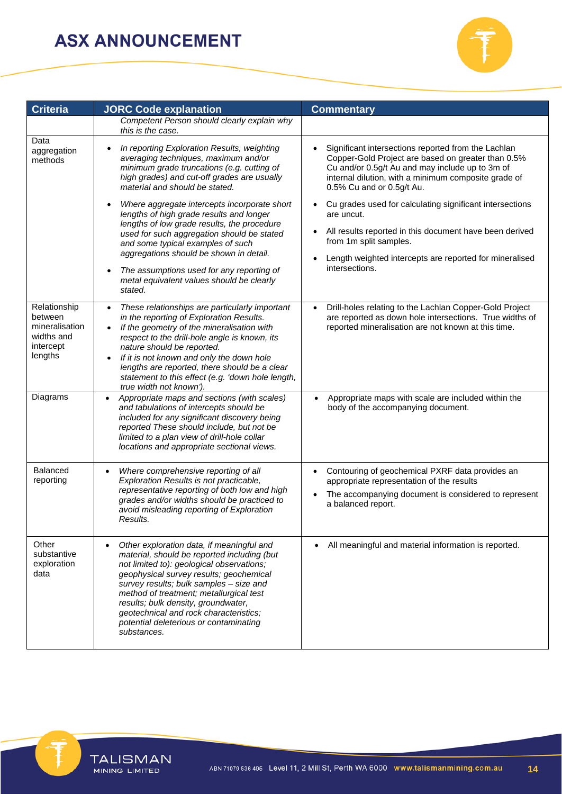

| <b>Criteria</b>                                                                 | <b>JORC Code explanation</b>                                                                                                                                                                                                                                                                                                                                                                                                                                                                                                                                                                                               | <b>Commentary</b>                                                                                                                                                                                                                                                                                                                                                                                                                                                                             |  |  |
|---------------------------------------------------------------------------------|----------------------------------------------------------------------------------------------------------------------------------------------------------------------------------------------------------------------------------------------------------------------------------------------------------------------------------------------------------------------------------------------------------------------------------------------------------------------------------------------------------------------------------------------------------------------------------------------------------------------------|-----------------------------------------------------------------------------------------------------------------------------------------------------------------------------------------------------------------------------------------------------------------------------------------------------------------------------------------------------------------------------------------------------------------------------------------------------------------------------------------------|--|--|
|                                                                                 | Competent Person should clearly explain why<br>this is the case.                                                                                                                                                                                                                                                                                                                                                                                                                                                                                                                                                           |                                                                                                                                                                                                                                                                                                                                                                                                                                                                                               |  |  |
| Data<br>aggregation<br>methods                                                  | In reporting Exploration Results, weighting<br>$\bullet$<br>averaging techniques, maximum and/or<br>minimum grade truncations (e.g. cutting of<br>high grades) and cut-off grades are usually<br>material and should be stated.<br>Where aggregate intercepts incorporate short<br>lengths of high grade results and longer<br>lengths of low grade results, the procedure<br>used for such aggregation should be stated<br>and some typical examples of such<br>aggregations should be shown in detail.<br>The assumptions used for any reporting of<br>$\bullet$<br>metal equivalent values should be clearly<br>stated. | Significant intersections reported from the Lachlan<br>Copper-Gold Project are based on greater than 0.5%<br>Cu and/or 0.5g/t Au and may include up to 3m of<br>internal dilution, with a minimum composite grade of<br>0.5% Cu and or 0.5g/t Au.<br>Cu grades used for calculating significant intersections<br>are uncut.<br>All results reported in this document have been derived<br>from 1m split samples.<br>Length weighted intercepts are reported for mineralised<br>intersections. |  |  |
| Relationship<br>between<br>mineralisation<br>widths and<br>intercept<br>lengths | These relationships are particularly important<br>$\bullet$<br>in the reporting of Exploration Results.<br>If the geometry of the mineralisation with<br>$\bullet$<br>respect to the drill-hole angle is known, its<br>nature should be reported.<br>If it is not known and only the down hole<br>$\bullet$<br>lengths are reported, there should be a clear<br>statement to this effect (e.g. 'down hole length,<br>true width not known').                                                                                                                                                                               | Drill-holes relating to the Lachlan Copper-Gold Project<br>are reported as down hole intersections. True widths of<br>reported mineralisation are not known at this time.                                                                                                                                                                                                                                                                                                                     |  |  |
| Diagrams                                                                        | Appropriate maps and sections (with scales)<br>$\bullet$<br>and tabulations of intercepts should be<br>included for any significant discovery being<br>reported These should include, but not be<br>limited to a plan view of drill-hole collar<br>locations and appropriate sectional views.                                                                                                                                                                                                                                                                                                                              | Appropriate maps with scale are included within the<br>$\bullet$<br>body of the accompanying document.                                                                                                                                                                                                                                                                                                                                                                                        |  |  |
| <b>Balanced</b><br>reporting                                                    | Where comprehensive reporting of all<br>$\bullet$<br>Exploration Results is not practicable,<br>representative reporting of both low and high<br>grades and/or widths should be practiced to<br>avoid misleading reporting of Exploration<br>Results.                                                                                                                                                                                                                                                                                                                                                                      | Contouring of geochemical PXRF data provides an<br>appropriate representation of the results<br>The accompanying document is considered to represent<br>a balanced report.                                                                                                                                                                                                                                                                                                                    |  |  |
| Other<br>substantive<br>exploration<br>data                                     | Other exploration data, if meaningful and<br>٠<br>material, should be reported including (but<br>not limited to): geological observations;<br>geophysical survey results; geochemical<br>survey results; bulk samples - size and<br>method of treatment; metallurgical test<br>results; bulk density, groundwater,<br>geotechnical and rock characteristics;<br>potential deleterious or contaminating<br>substances.                                                                                                                                                                                                      | All meaningful and material information is reported.                                                                                                                                                                                                                                                                                                                                                                                                                                          |  |  |